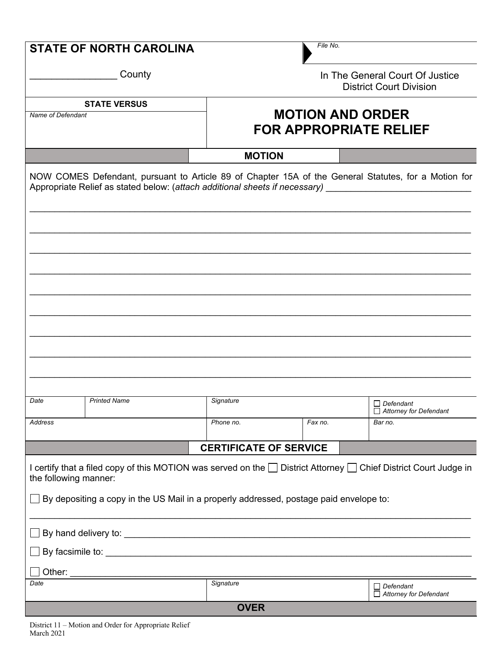| File No.<br><b>STATE OF NORTH CAROLINA</b>                                                                                                                                                                                           |                     |                                                                   |         |                                                   |  |  |  |  |
|--------------------------------------------------------------------------------------------------------------------------------------------------------------------------------------------------------------------------------------|---------------------|-------------------------------------------------------------------|---------|---------------------------------------------------|--|--|--|--|
|                                                                                                                                                                                                                                      | County              | In The General Court Of Justice<br><b>District Court Division</b> |         |                                                   |  |  |  |  |
| <b>STATE VERSUS</b>                                                                                                                                                                                                                  |                     |                                                                   |         |                                                   |  |  |  |  |
| Name of Defendant                                                                                                                                                                                                                    |                     | <b>MOTION AND ORDER</b><br><b>FOR APPROPRIATE RELIEF</b>          |         |                                                   |  |  |  |  |
|                                                                                                                                                                                                                                      |                     | <b>MOTION</b>                                                     |         |                                                   |  |  |  |  |
| NOW COMES Defendant, pursuant to Article 89 of Chapter 15A of the General Statutes, for a Motion for<br>Appropriate Relief as stated below: (attach additional sheets if necessary)                                                  |                     |                                                                   |         |                                                   |  |  |  |  |
|                                                                                                                                                                                                                                      |                     |                                                                   |         |                                                   |  |  |  |  |
|                                                                                                                                                                                                                                      |                     |                                                                   |         |                                                   |  |  |  |  |
|                                                                                                                                                                                                                                      |                     |                                                                   |         |                                                   |  |  |  |  |
|                                                                                                                                                                                                                                      |                     |                                                                   |         |                                                   |  |  |  |  |
|                                                                                                                                                                                                                                      |                     |                                                                   |         |                                                   |  |  |  |  |
| Date                                                                                                                                                                                                                                 | <b>Printed Name</b> | Signature                                                         |         | $\Box$ Defendant<br>Attorney for Defendant        |  |  |  |  |
| Address                                                                                                                                                                                                                              |                     | Phone no.                                                         | Fax no. | Bar no.                                           |  |  |  |  |
| <b>CERTIFICATE OF SERVICE</b>                                                                                                                                                                                                        |                     |                                                                   |         |                                                   |  |  |  |  |
| I certify that a filed copy of this MOTION was served on the District Attorney D Chief District Court Judge in<br>the following manner:                                                                                              |                     |                                                                   |         |                                                   |  |  |  |  |
| By depositing a copy in the US Mail in a properly addressed, postage paid envelope to:                                                                                                                                               |                     |                                                                   |         |                                                   |  |  |  |  |
| By hand delivery to: <u>example and the set of the set of the set of the set of the set of the set of the set of the set of the set of the set of the set of the set of the set of the set of the set of the set of the set of t</u> |                     |                                                                   |         |                                                   |  |  |  |  |
|                                                                                                                                                                                                                                      |                     |                                                                   |         |                                                   |  |  |  |  |
| Other: $\_$                                                                                                                                                                                                                          |                     |                                                                   |         |                                                   |  |  |  |  |
| Date                                                                                                                                                                                                                                 |                     | Signature                                                         |         | $\Box$ Defendant<br>$\Box$ Attorney for Defendant |  |  |  |  |
| <b>OVER</b>                                                                                                                                                                                                                          |                     |                                                                   |         |                                                   |  |  |  |  |